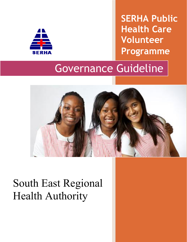

**SERHA Public Health Care Volunteer Programme** 

# Governance Guideline



# South East Regional Health Authority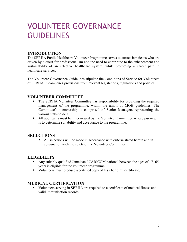# VOLUNTEER GOVERNANCE **GUIDELINES**

# **INTRODUCTION**

The SERHA Public Healthcare Volunteer Programme serves to attract Jamaicans who are driven by a quest for professionalism and the need to contribute to the enhancement and sustainability of an effective healthcare system, while promoting a career path in healthcare services.

The Volunteer Governance Guidelines stipulate the Conditions of Service for Volunteers of SERHA. It comprises provisions from relevant legislations, regulations and policies.

#### **VOLUNTEER COMMITTEE**

- The SERHA Volunteer Committee has responsibility for providing the required management of the programme, within the ambit of MOH guidelines. The Committee's membership is comprised of Senior Managers representing the various stakeholders.
- All applicants must be interviewed by the Volunteer Committee whose purview it is to determine suitability and acceptance to the programme.

#### **SELECTIONS**

 All selections will be made in accordance with criteria stated herein and in conjunction with the edicts of the Volunteer Committee.

#### **ELIGIBILITY**

- Any suitably qualified Jamaican / CARICOM national between the ages of 17 -65 years is eligible for the volunteer programme.
- Volunteers must produce a certified copy of his / her birth certificate.

#### **MEDICAL CERTIFICATION**

 Volunteers serving in SERHA are required to a certificate of medical fitness and valid immunisation records.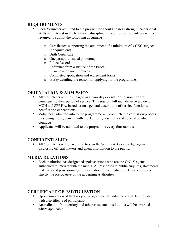#### **REQUIREMENTS**

- Each Volunteer admitted to the programme should possess strong inter-personal skills and interest in the healthcare discipline. In addition, all volunteers will be required to submit the following documents:
	- o Certificate/s supporting the attainment of a minimum of 3 CXC subjects (or equivalent)
	- o Birth Certificate
	- o One passport sized photograph
	- o Police Record
	- o Reference from a Justice of the Peace
	- o Resume and two references
	- o Completed application and Agreement forms
	- o Essay detailing the reason for applying for the programme.

# **ORIENTATION & ADMISSION**

- All Volunteers will be engaged in a two- day orientation session prior to commencing their period of service. This session will include an overview of MOH and SERHA, introductions, general description of service functions, benefits and expectations.
- Volunteers admitted into to the programme will complete the admission process by signing the agreement with the Authority's secrecy and code of conduct contracts.
- Applicants will be admitted to the programme every four months

# **CONFIDENTIALITY**

 All Volunteers will be required to sign the Secrets Act as a pledge against disclosing official matters and client information to the public.

#### **MEDIA RELATIONS**

■ Each institution has designated spokespersons who are the ONLY agents authorised to interact with the media. All responses to public enquires, statements, materials and provisioning of information to the media or external entities is strictly the prerogative of the governing Authorities

#### **CERTIFICATE OF PARTICIPATION**

- Upon completion of the two year programme, all volunteers shall be provided with a certificate of participation
- Accreditation from tertiary and other associated institutions will be awarded where applicable.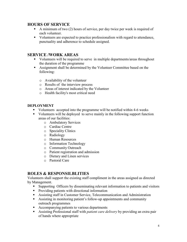#### **HOURS OF SERVICE**

- A minimum of two  $(2)$  hours of service, per day twice per week is required of each volunteer.
- Volunteers are expected to practice professionalism with regard to attendance, punctuality and adherence to schedule assigned.

#### **SERVICE /WORK AREAS**

- Volunteers will be required to serve in multiple departments/areas throughout the duration of the programme
- Assignment shall be determined by the Volunteer Committee based on the following:
	- o Availability of the volunteer
	- o Results of the interview process
	- o Areas of interest indicated by the Volunteer
	- o Health facility's most critical need

#### **DEPLOYMENT**

- Volunteers accepted into the programme will be notified within 4-6 weeks
- Volunteers will be deployed to serve mainly in the following support function areas of our facilities:
	- o Ambulatory Services
	- o Cardiac Centre
	- o Speciality Clinics
	- o Radiology
	- o Human Resources
	- o Information Technology
	- o Community Outreach
	- o Patient registration and admission
	- o Dietary and Linen services
	- o Pastoral Care

# **ROLES & RESPONSILBLITIES**

Volunteers shall support the existing staff compliment in the areas assigned as directed by Management.

- Supporting Officers by disseminating relevant information to patients and visitors
- Providing patients with directional information
- Assisting staff in Customer Service, Telecommunication and Administration
- Assisting in monitoring patient's follow-up appointments and community outreach programmes
- Accompanying patients to various departments
- Assisting Professional staff with *patient care delivery* by providing an extra pair of hands where appropriate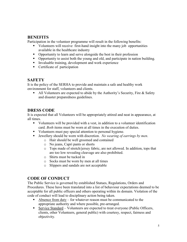#### **BENEFITS**

Participation in the volunteer programme will result in the following benefits:

- Volunteers will receive first-hand insight into the many job opportunities available in the healthcare industry
- Opportunity to learn and serve alongside the best in their profession
- Opportunity to assist both the young and old, and participate in nation building.
- Invaluable training, development and work experience
- Certificate of participation

### **SAFETY**

It is the policy of the SERHA to provide and maintain a safe and healthy work environment for staff, volunteers and clients.

All Volunteers are expected to abide by the Authority's Security, Fire  $\&$  Safety and disaster preparedness guidelines.

# **DRESS CODE**

It is expected that all Volunteers will be appropriately attired and neat in appearance, at all times.

- Volunteers will be provided with a vest, in addition to a volunteer identification card. *Both* items must be worn at all times in the execution of duties.
- Volunteers must pay special attention to personal hygiene.
- Jewellery should be worn with discretion. *No wearing of earrings by men*.
	- o Hair should be well groomed and contained
	- o No jeans, Capri pants or shorts
	- o Tops made of stretch/jersey fabric, are not allowed. In addition, tops that are too low revealing cleavage are also prohibited.
	- o Shirts must be tucked in
	- o Socks must be worn by men at all times
	- o Slippers and sandals are not acceptable

# **CODE OF CONDUCT**

The Public Service is governed by established Statues, Regulations, Orders and Procedures. These have been translated into a list of behaviour expectations deemed to be acceptable for all public officers and others operating within its domain. Violation of the code of conduct will lead to disciplinary action being taken.

- Absence from duty for whatever reason must be communicated to the appropriate authority and where possible, pre-arranged.
- Service Standard Volunteers are expected to treat everyone (Public Officers, clients, other Volunteers, general public) with courtesy, respect, fairness and objectivity.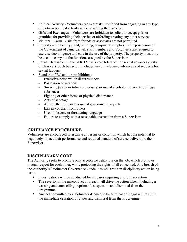- Political Activity Volunteers are expressly prohibited from engaging in any type of partisan political activity while providing their service.
- Gifts and Exchanges Volunteers are forbidden to solicit or accept gifts or gratuities for providing their service or affording/creating any other services.
- Visitors Casual visits from friends or associates are not permitted.
- Property the facility (land, building, equipment, supplies) is the possession of the Government of Jamaica. All staff members and Volunteers are required to exercise due diligence and care in the use of the property. The property must only be used to carry out the functions assigned by the Supervisor.
- Sexual Harassment the SERHA has a zero tolerance for sexual advances (verbal or physical). Such behaviour includes any unwelcomed advances and requests for sexual favours.
- Standard of Behaviour prohibitions:
	- Excessive noise which disturbs others
	- Possession of weapons
	- Smoking (ganja or tobacco products) or use of alcohol, intoxicants or illegal substances
	- Fighting or other forms of physical disturbance
	- Acts of sabotage
	- Abuse , theft or careless use of government property
	- Larceny or theft from others
	- Use of obscene or threatening language
	- Failure to comply with a reasonable instruction from a Supervisor

# **GRIEVANCE PROCEDURE**

Volunteers are encouraged to escalate any issue or condition which has the potential to negatively impact their performance and required standard of service delivery, to their Supervisor.

# **DISCIPLINARY CODE**

The Authority seeks to promote only acceptable behaviour on the job, which promotes mutual respect for each other, while protecting the rights of all concerned. Any breach of the Authority's / Volunteer Governance Guidelines will result in disciplinary action being taken.

- Investigations will be conducted for all cases requiring disciplinary action.
- The severity of the misconduct or breach will drive the action taken, including a warning and counselling, reprimand, suspension and dismissal from the Programme.
- Any act committed by a Volunteer deemed to be criminal or illegal will result in the immediate cessation of duties and dismissal from the Programme.